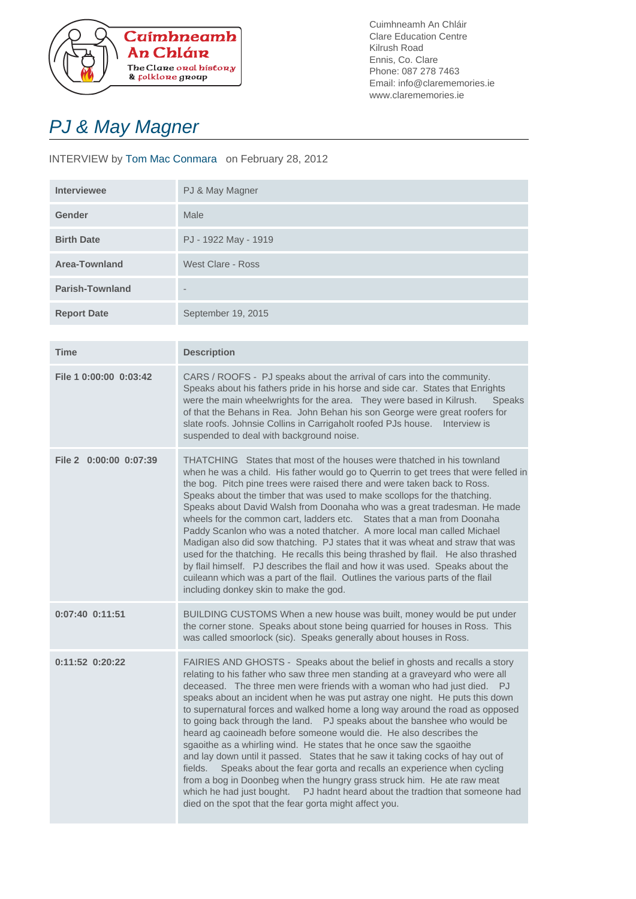

Cuimhneamh An Chláir Clare Education Centre Kilrush Road Ennis, Co. Clare Phone: 087 278 7463 Email: info@clarememories.ie www.clarememories.ie

## PJ & May Magner

## INTERVIEW by Tom Mac Conmara on February 28, 2012

| <b>Interviewee</b>     | PJ & May Magner      |
|------------------------|----------------------|
| Gender                 | Male                 |
| <b>Birth Date</b>      | PJ - 1922 May - 1919 |
| <b>Area-Townland</b>   | West Clare - Ross    |
| <b>Parish-Townland</b> | $\qquad \qquad$      |
| <b>Report Date</b>     | September 19, 2015   |
|                        |                      |

| <b>Time</b>            | <b>Description</b>                                                                                                                                                                                                                                                                                                                                                                                                                                                                                                                                                                                                                                                                                                                                                                                                                                                                                                                                                                                                        |
|------------------------|---------------------------------------------------------------------------------------------------------------------------------------------------------------------------------------------------------------------------------------------------------------------------------------------------------------------------------------------------------------------------------------------------------------------------------------------------------------------------------------------------------------------------------------------------------------------------------------------------------------------------------------------------------------------------------------------------------------------------------------------------------------------------------------------------------------------------------------------------------------------------------------------------------------------------------------------------------------------------------------------------------------------------|
| File 1 0:00:00 0:03:42 | CARS / ROOFS - PJ speaks about the arrival of cars into the community.<br>Speaks about his fathers pride in his horse and side car. States that Enrights<br>were the main wheelwrights for the area. They were based in Kilrush.<br><b>Speaks</b><br>of that the Behans in Rea. John Behan his son George were great roofers for<br>slate roofs. Johnsie Collins in Carrigaholt roofed PJs house.  Interview is<br>suspended to deal with background noise.                                                                                                                                                                                                                                                                                                                                                                                                                                                                                                                                                               |
| File 2 0:00:00 0:07:39 | THATCHING States that most of the houses were thatched in his townland<br>when he was a child. His father would go to Querrin to get trees that were felled in<br>the bog. Pitch pine trees were raised there and were taken back to Ross.<br>Speaks about the timber that was used to make scollops for the thatching.<br>Speaks about David Walsh from Doonaha who was a great tradesman. He made<br>wheels for the common cart, ladders etc. States that a man from Doonaha<br>Paddy Scanlon who was a noted thatcher. A more local man called Michael<br>Madigan also did sow thatching. PJ states that it was wheat and straw that was<br>used for the thatching. He recalls this being thrashed by flail. He also thrashed<br>by flail himself. PJ describes the flail and how it was used. Speaks about the<br>cuileann which was a part of the flail. Outlines the various parts of the flail<br>including donkey skin to make the god.                                                                           |
| $0:07:40$ $0:11:51$    | BUILDING CUSTOMS When a new house was built, money would be put under<br>the corner stone. Speaks about stone being quarried for houses in Ross. This<br>was called smoorlock (sic). Speaks generally about houses in Ross.                                                                                                                                                                                                                                                                                                                                                                                                                                                                                                                                                                                                                                                                                                                                                                                               |
| $0:11:52$ $0:20:22$    | FAIRIES AND GHOSTS - Speaks about the belief in ghosts and recalls a story<br>relating to his father who saw three men standing at a graveyard who were all<br>deceased. The three men were friends with a woman who had just died. PJ<br>speaks about an incident when he was put astray one night. He puts this down<br>to supernatural forces and walked home a long way around the road as opposed<br>to going back through the land.  PJ speaks about the banshee who would be<br>heard ag caoineadh before someone would die. He also describes the<br>sgaoithe as a whirling wind. He states that he once saw the sgaoithe<br>and lay down until it passed. States that he saw it taking cocks of hay out of<br>Speaks about the fear gorta and recalls an experience when cycling<br>fields.<br>from a bog in Doonbeg when the hungry grass struck him. He ate raw meat<br>which he had just bought. PJ hadnt heard about the tradtion that someone had<br>died on the spot that the fear gorta might affect you. |